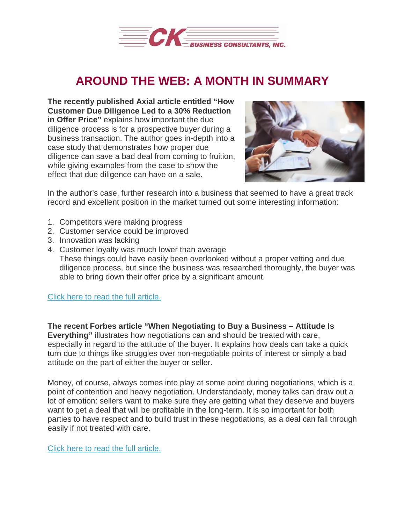

## **AROUND THE WEB: A MONTH IN SUMMARY**

**The recently published Axial article entitled "How Customer Due Diligence Led to a 30% Reduction in Offer Price"** explains how important the due diligence process is for a prospective buyer during a business transaction. The author goes in-depth into a case study that demonstrates how proper due diligence can save a bad deal from coming to fruition, while giving examples from the case to show the effect that due diligence can have on a sale.



In the author's case, further research into a business that seemed to have a great track record and excellent position in the market turned out some interesting information:

- 1. Competitors were making progress
- 2. Customer service could be improved
- 3. Innovation was lacking
- 4. Customer loyalty was much lower than average

These things could have easily been overlooked without a proper vetting and due diligence process, but since the business was researched thoroughly, the buyer was able to bring down their offer price by a significant amount.

Click here to read the full [article.](http://www.axial.net/forum/customer-due-diligence-led-30-reduction-offer-price/)

**The recent Forbes article "When Negotiating to Buy a Business – Attitude Is Everything"** illustrates how negotiations can and should be treated with care, especially in regard to the attitude of the buyer. It explains how deals can take a quick turn due to things like struggles over non-negotiable points of interest or simply a bad attitude on the part of either the buyer or seller.

Money, of course, always comes into play at some point during negotiations, which is a point of contention and heavy negotiation. Understandably, money talks can draw out a lot of emotion: sellers want to make sure they are getting what they deserve and buyers want to get a deal that will be profitable in the long-term. It is so important for both parties to have respect and to build trust in these negotiations, as a deal can fall through easily if not treated with care.

Click here to read the full [article.](https://www.forbes.com/sites/richardparker/2017/02/22/when-negotiating-to-buy-a-business-attitude-outweighs-aptitude/#5e8cce411775)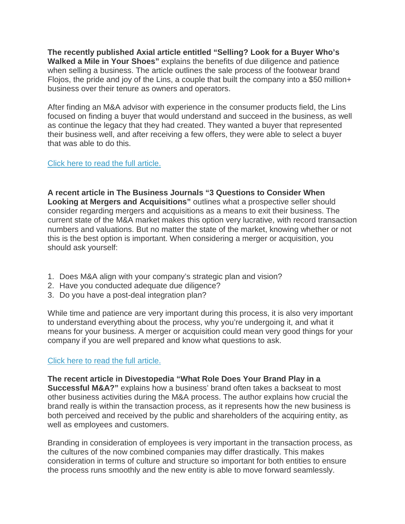**The recently published Axial article entitled "Selling? Look for a Buyer Who's Walked a Mile in Your Shoes"** explains the benefits of due diligence and patience when selling a business. The article outlines the sale process of the footwear brand Flojos, the pride and joy of the Lins, a couple that built the company into a \$50 million+ business over their tenure as owners and operators.

After finding an M&A advisor with experience in the consumer products field, the Lins focused on finding a buyer that would understand and succeed in the business, as well as continue the legacy that they had created. They wanted a buyer that represented their business well, and after receiving a few offers, they were able to select a buyer that was able to do this.

## Click here to read the full [article.](http://www.axial.net/forum/selling-look-buyer-whos-walked-mile-shoes/)

**A recent article in The Business Journals "3 Questions to Consider When Looking at Mergers and Acquisitions"** outlines what a prospective seller should consider regarding mergers and acquisitions as a means to exit their business. The current state of the M&A market makes this option very lucrative, with record transaction numbers and valuations. But no matter the state of the market, knowing whether or not this is the best option is important. When considering a merger or acquisition, you should ask yourself:

- 1. Does M&A align with your company's strategic plan and vision?
- 2. Have you conducted adequate due diligence?
- 3. Do you have a post-deal integration plan?

While time and patience are very important during this process, it is also very important to understand everything about the process, why you're undergoing it, and what it means for your business. A merger or acquisition could mean very good things for your company if you are well prepared and know what questions to ask.

## Click here to read the full [article.](http://www.bizjournals.com/bizjournals/how-to/buy-a-business/bizbuysell/2017/03/3-questions-to-consider-when-looking-at-mergers.html)

**The recent article in Divestopedia "What Role Does Your Brand Play in a Successful M&A?"** explains how a business' brand often takes a backseat to most other business activities during the M&A process. The author explains how crucial the brand really is within the transaction process, as it represents how the new business is both perceived and received by the public and shareholders of the acquiring entity, as well as employees and customers.

Branding in consideration of employees is very important in the transaction process, as the cultures of the now combined companies may differ drastically. This makes consideration in terms of culture and structure so important for both entities to ensure the process runs smoothly and the new entity is able to move forward seamlessly.